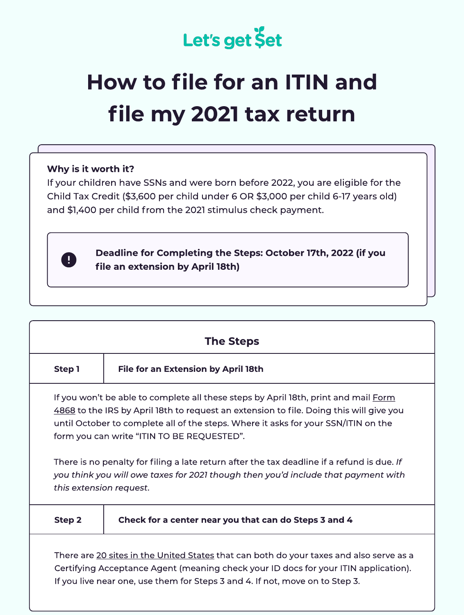

## How to file for an ITIN and file my 2021 tax return

## Why is it worth it?

If your children have SSNs and were born before 2022, you are eligible for the Child Tax Credit (\$3,600 per child under 6 OR \$3,000 per child 6-17 years old) and \$1,400 per child from the 2021 stimulus check payment.



Deadline for Completing the Steps: October 17th, 2022 (if you file an extension by April 18th)

|                         | <b>The Steps</b>                                                                                                                                                                                                                                                                                                                                                                                                                                                                                      |  |
|-------------------------|-------------------------------------------------------------------------------------------------------------------------------------------------------------------------------------------------------------------------------------------------------------------------------------------------------------------------------------------------------------------------------------------------------------------------------------------------------------------------------------------------------|--|
| Step 1                  | <b>File for an Extension by April 18th</b>                                                                                                                                                                                                                                                                                                                                                                                                                                                            |  |
| this extension request. | If you won't be able to complete all these steps by April 18th, print and mail Form<br>4868 to the IRS by April 18th to request an extension to file. Doing this will give you<br>until October to complete all of the steps. Where it asks for your SSN/ITIN on the<br>form you can write "ITIN TO BE REQUESTED".<br>There is no penalty for filing a late return after the tax deadline if a refund is due. If<br>you think you will owe taxes for 2021 though then you'd include that payment with |  |
| Step 2                  | Check for a center near you that can do Steps 3 and 4                                                                                                                                                                                                                                                                                                                                                                                                                                                 |  |
|                         | There are 20 sites in the United States that can both do your taxes and also serve as a<br>Certifying Acceptance Agent (meaning check your ID docs for your ITIN application).<br>If you live near one, use them for Steps 3 and 4. If not, move on to Step 3.                                                                                                                                                                                                                                        |  |